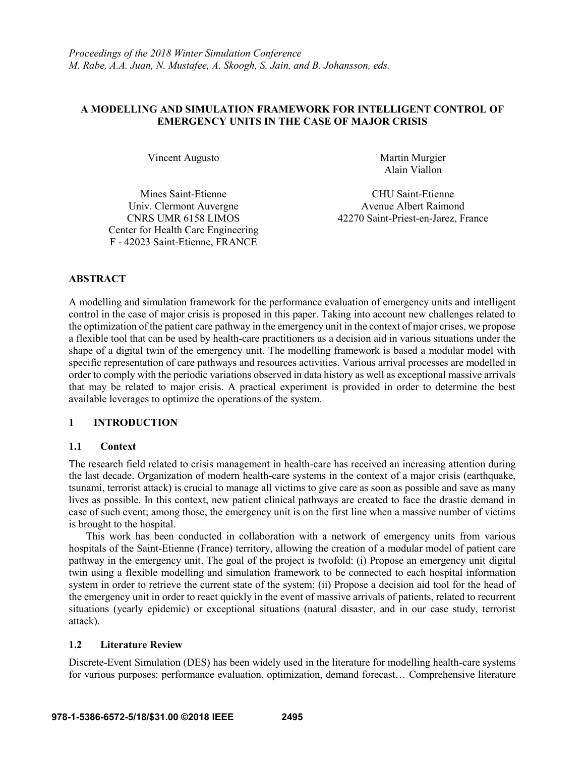## **A MODELLING AND SIMULATION FRAMEWORK FOR INTELLIGENT CONTROL OF EMERGENCY UNITS IN THE CASE OF MAJOR CRISIS**

Vincent Augusto Martin Murgier

Alain Viallon

Univ. Clermont Auvergne CNRS UMR 6158 LIMOS Center for Health Care Engineering F - 42023 Saint-Etienne, FRANCE

Mines Saint-Etienne CHU Saint-Etienne Avenue Albert Raimond 42270 Saint-Priest-en-Jarez, France

## **ABSTRACT**

A modelling and simulation framework for the performance evaluation of emergency units and intelligent control in the case of major crisis is proposed in this paper. Taking into account new challenges related to the optimization of the patient care pathway in the emergency unit in the context of major crises, we propose a flexible tool that can be used by health-care practitioners as a decision aid in various situations under the shape of a digital twin of the emergency unit. The modelling framework is based a modular model with specific representation of care pathways and resources activities. Various arrival processes are modelled in order to comply with the periodic variations observed in data history as well as exceptional massive arrivals that may be related to major crisis. A practical experiment is provided in order to determine the best available leverages to optimize the operations of the system.

## **1 INTRODUCTION**

## **1.1 Context**

The research field related to crisis management in health-care has received an increasing attention during the last decade. Organization of modern health-care systems in the context of a major crisis (earthquake, tsunami, terrorist attack) is crucial to manage all victims to give care as soon as possible and save as many lives as possible. In this context, new patient clinical pathways are created to face the drastic demand in case of such event; among those, the emergency unit is on the first line when a massive number of victims is brought to the hospital.

This work has been conducted in collaboration with a network of emergency units from various hospitals of the Saint-Etienne (France) territory, allowing the creation of a modular model of patient care pathway in the emergency unit. The goal of the project is twofold: (i) Propose an emergency unit digital twin using a flexible modelling and simulation framework to be connected to each hospital information system in order to retrieve the current state of the system; (ii) Propose a decision aid tool for the head of the emergency unit in order to react quickly in the event of massive arrivals of patients, related to recurrent situations (yearly epidemic) or exceptional situations (natural disaster, and in our case study, terrorist attack).

## **1.2 Literature Review**

Discrete-Event Simulation (DES) has been widely used in the literature for modelling health-care systems for various purposes: performance evaluation, optimization, demand forecast… Comprehensive literature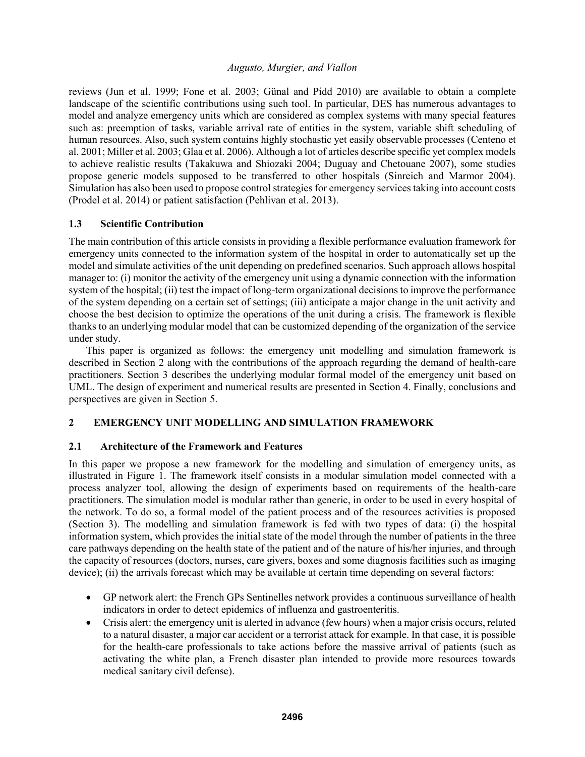reviews (Jun et al. 1999; Fone et al. 2003; Günal and Pidd 2010) are available to obtain a complete landscape of the scientific contributions using such tool. In particular, DES has numerous advantages to model and analyze emergency units which are considered as complex systems with many special features such as: preemption of tasks, variable arrival rate of entities in the system, variable shift scheduling of human resources. Also, such system contains highly stochastic yet easily observable processes (Centeno et al. 2001; Miller et al. 2003; Glaa et al. 2006). Although a lot of articles describe specific yet complex models to achieve realistic results (Takakuwa and Shiozaki 2004; Duguay and Chetouane 2007), some studies propose generic models supposed to be transferred to other hospitals (Sinreich and Marmor 2004). Simulation has also been used to propose control strategies for emergency services taking into account costs (Prodel et al. 2014) or patient satisfaction (Pehlivan et al. 2013).

## **1.3 Scientific Contribution**

The main contribution of this article consists in providing a flexible performance evaluation framework for emergency units connected to the information system of the hospital in order to automatically set up the model and simulate activities of the unit depending on predefined scenarios. Such approach allows hospital manager to: (i) monitor the activity of the emergency unit using a dynamic connection with the information system of the hospital; (ii) test the impact of long-term organizational decisions to improve the performance of the system depending on a certain set of settings; (iii) anticipate a major change in the unit activity and choose the best decision to optimize the operations of the unit during a crisis. The framework is flexible thanks to an underlying modular model that can be customized depending of the organization of the service under study.

This paper is organized as follows: the emergency unit modelling and simulation framework is described in Section 2 along with the contributions of the approach regarding the demand of health-care practitioners. Section 3 describes the underlying modular formal model of the emergency unit based on UML. The design of experiment and numerical results are presented in Section 4. Finally, conclusions and perspectives are given in Section 5.

# **2 EMERGENCY UNIT MODELLING AND SIMULATION FRAMEWORK**

## **2.1 Architecture of the Framework and Features**

In this paper we propose a new framework for the modelling and simulation of emergency units, as illustrated in Figure 1. The framework itself consists in a modular simulation model connected with a process analyzer tool, allowing the design of experiments based on requirements of the health-care practitioners. The simulation model is modular rather than generic, in order to be used in every hospital of the network. To do so, a formal model of the patient process and of the resources activities is proposed (Section 3). The modelling and simulation framework is fed with two types of data: (i) the hospital information system, which provides the initial state of the model through the number of patients in the three care pathways depending on the health state of the patient and of the nature of his/her injuries, and through the capacity of resources (doctors, nurses, care givers, boxes and some diagnosis facilities such as imaging device); (ii) the arrivals forecast which may be available at certain time depending on several factors:

- GP network alert: the French GPs Sentinelles network provides a continuous surveillance of health indicators in order to detect epidemics of influenza and gastroenteritis.
- Crisis alert: the emergency unit is alerted in advance (few hours) when a major crisis occurs, related to a natural disaster, a major car accident or a terrorist attack for example. In that case, it is possible for the health-care professionals to take actions before the massive arrival of patients (such as activating the white plan, a French disaster plan intended to provide more resources towards medical sanitary civil defense).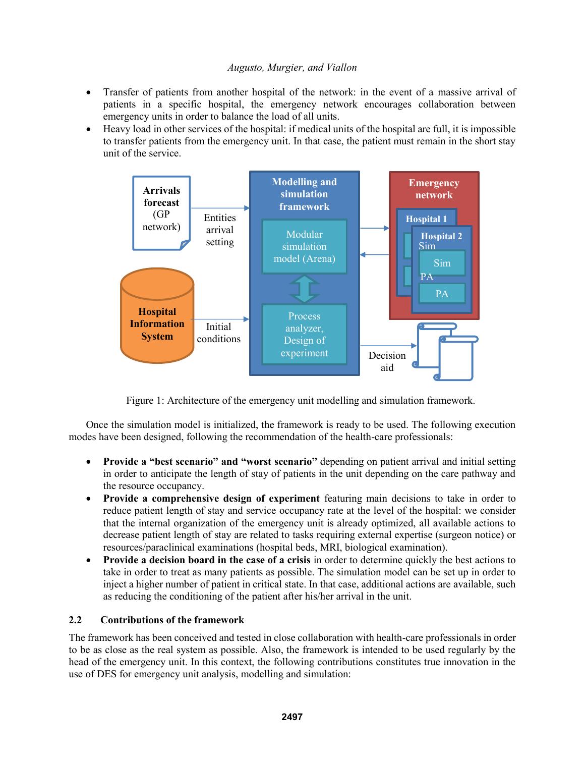- Transfer of patients from another hospital of the network: in the event of a massive arrival of patients in a specific hospital, the emergency network encourages collaboration between emergency units in order to balance the load of all units.
- Heavy load in other services of the hospital: if medical units of the hospital are full, it is impossible to transfer patients from the emergency unit. In that case, the patient must remain in the short stay unit of the service.



Figure 1: Architecture of the emergency unit modelling and simulation framework.

Once the simulation model is initialized, the framework is ready to be used. The following execution modes have been designed, following the recommendation of the health-care professionals:

- **Provide a "best scenario" and "worst scenario"** depending on patient arrival and initial setting in order to anticipate the length of stay of patients in the unit depending on the care pathway and the resource occupancy.
- **Provide a comprehensive design of experiment** featuring main decisions to take in order to reduce patient length of stay and service occupancy rate at the level of the hospital: we consider that the internal organization of the emergency unit is already optimized, all available actions to decrease patient length of stay are related to tasks requiring external expertise (surgeon notice) or resources/paraclinical examinations (hospital beds, MRI, biological examination).
- **Provide a decision board in the case of a crisis** in order to determine quickly the best actions to take in order to treat as many patients as possible. The simulation model can be set up in order to inject a higher number of patient in critical state. In that case, additional actions are available, such as reducing the conditioning of the patient after his/her arrival in the unit.

# **2.2 Contributions of the framework**

The framework has been conceived and tested in close collaboration with health-care professionals in order to be as close as the real system as possible. Also, the framework is intended to be used regularly by the head of the emergency unit. In this context, the following contributions constitutes true innovation in the use of DES for emergency unit analysis, modelling and simulation: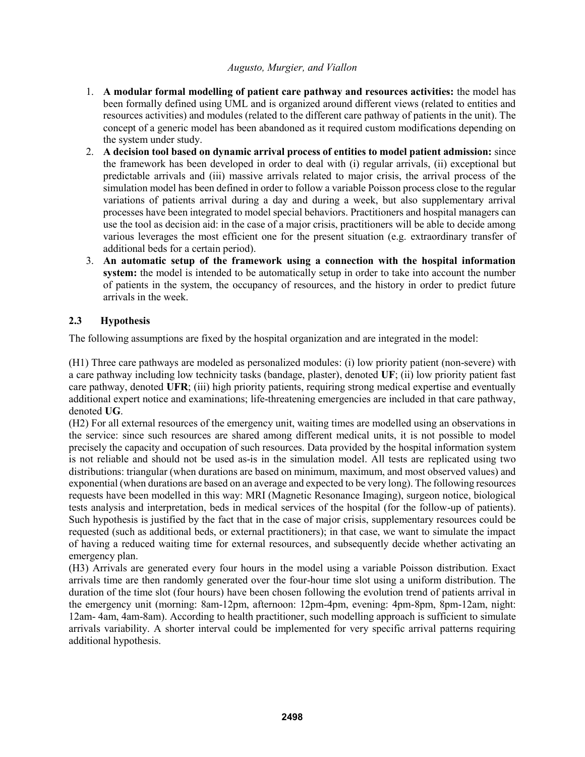- 1. **A modular formal modelling of patient care pathway and resources activities:** the model has been formally defined using UML and is organized around different views (related to entities and resources activities) and modules (related to the different care pathway of patients in the unit). The concept of a generic model has been abandoned as it required custom modifications depending on the system under study.
- 2. **A decision tool based on dynamic arrival process of entities to model patient admission:** since the framework has been developed in order to deal with (i) regular arrivals, (ii) exceptional but predictable arrivals and (iii) massive arrivals related to major crisis, the arrival process of the simulation model has been defined in order to follow a variable Poisson process close to the regular variations of patients arrival during a day and during a week, but also supplementary arrival processes have been integrated to model special behaviors. Practitioners and hospital managers can use the tool as decision aid: in the case of a major crisis, practitioners will be able to decide among various leverages the most efficient one for the present situation (e.g. extraordinary transfer of additional beds for a certain period).
- 3. **An automatic setup of the framework using a connection with the hospital information system:** the model is intended to be automatically setup in order to take into account the number of patients in the system, the occupancy of resources, and the history in order to predict future arrivals in the week.

# **2.3 Hypothesis**

The following assumptions are fixed by the hospital organization and are integrated in the model:

(H1) Three care pathways are modeled as personalized modules: (i) low priority patient (non-severe) with a care pathway including low technicity tasks (bandage, plaster), denoted **UF**; (ii) low priority patient fast care pathway, denoted **UFR**; (iii) high priority patients, requiring strong medical expertise and eventually additional expert notice and examinations; life-threatening emergencies are included in that care pathway, denoted **UG**.

(H2) For all external resources of the emergency unit, waiting times are modelled using an observations in the service: since such resources are shared among different medical units, it is not possible to model precisely the capacity and occupation of such resources. Data provided by the hospital information system is not reliable and should not be used as-is in the simulation model. All tests are replicated using two distributions: triangular (when durations are based on minimum, maximum, and most observed values) and exponential (when durations are based on an average and expected to be very long). The following resources requests have been modelled in this way: MRI (Magnetic Resonance Imaging), surgeon notice, biological tests analysis and interpretation, beds in medical services of the hospital (for the follow-up of patients). Such hypothesis is justified by the fact that in the case of major crisis, supplementary resources could be requested (such as additional beds, or external practitioners); in that case, we want to simulate the impact of having a reduced waiting time for external resources, and subsequently decide whether activating an emergency plan.

(H3) Arrivals are generated every four hours in the model using a variable Poisson distribution. Exact arrivals time are then randomly generated over the four-hour time slot using a uniform distribution. The duration of the time slot (four hours) have been chosen following the evolution trend of patients arrival in the emergency unit (morning: 8am-12pm, afternoon: 12pm-4pm, evening: 4pm-8pm, 8pm-12am, night: 12am- 4am, 4am-8am). According to health practitioner, such modelling approach is sufficient to simulate arrivals variability. A shorter interval could be implemented for very specific arrival patterns requiring additional hypothesis.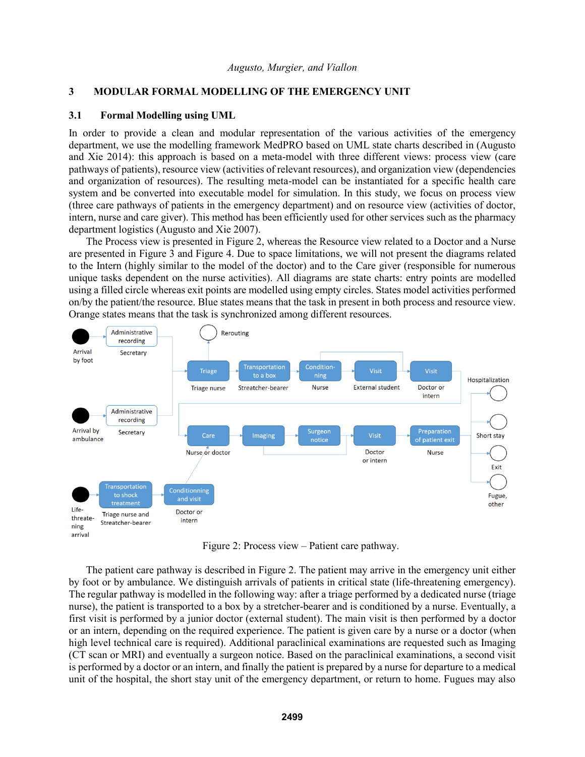## **3 MODULAR FORMAL MODELLING OF THE EMERGENCY UNIT**

### **3.1 Formal Modelling using UML**

In order to provide a clean and modular representation of the various activities of the emergency department, we use the modelling framework MedPRO based on UML state charts described in (Augusto and Xie 2014): this approach is based on a meta-model with three different views: process view (care pathways of patients), resource view (activities of relevant resources), and organization view (dependencies and organization of resources). The resulting meta-model can be instantiated for a specific health care system and be converted into executable model for simulation. In this study, we focus on process view (three care pathways of patients in the emergency department) and on resource view (activities of doctor, intern, nurse and care giver). This method has been efficiently used for other services such as the pharmacy department logistics (Augusto and Xie 2007).

The Process view is presented in Figure 2, whereas the Resource view related to a Doctor and a Nurse are presented in Figure 3 and Figure 4. Due to space limitations, we will not present the diagrams related to the Intern (highly similar to the model of the doctor) and to the Care giver (responsible for numerous unique tasks dependent on the nurse activities). All diagrams are state charts: entry points are modelled using a filled circle whereas exit points are modelled using empty circles. States model activities performed on/by the patient/the resource. Blue states means that the task in present in both process and resource view. Orange states means that the task is synchronized among different resources.



Figure 2: Process view – Patient care pathway.

The patient care pathway is described in Figure 2. The patient may arrive in the emergency unit either by foot or by ambulance. We distinguish arrivals of patients in critical state (life-threatening emergency). The regular pathway is modelled in the following way: after a triage performed by a dedicated nurse (triage nurse), the patient is transported to a box by a stretcher-bearer and is conditioned by a nurse. Eventually, a first visit is performed by a junior doctor (external student). The main visit is then performed by a doctor or an intern, depending on the required experience. The patient is given care by a nurse or a doctor (when high level technical care is required). Additional paraclinical examinations are requested such as Imaging (CT scan or MRI) and eventually a surgeon notice. Based on the paraclinical examinations, a second visit is performed by a doctor or an intern, and finally the patient is prepared by a nurse for departure to a medical unit of the hospital, the short stay unit of the emergency department, or return to home. Fugues may also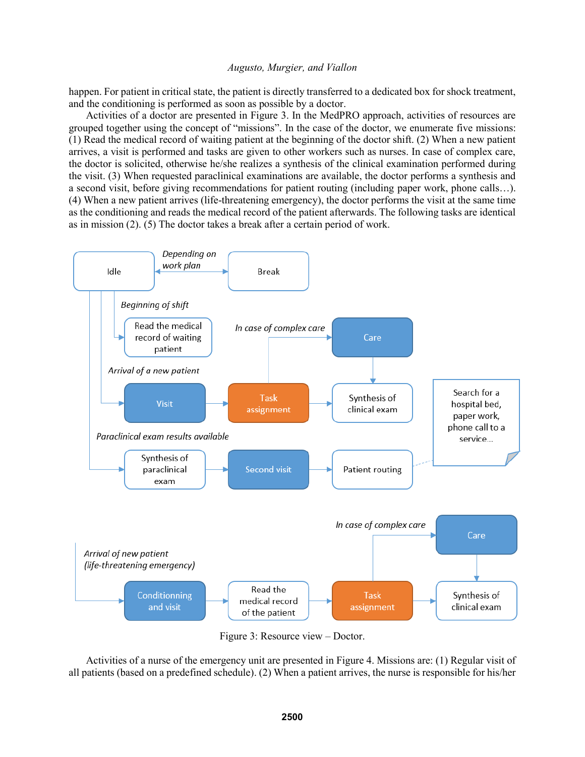happen. For patient in critical state, the patient is directly transferred to a dedicated box for shock treatment, and the conditioning is performed as soon as possible by a doctor.

Activities of a doctor are presented in Figure 3. In the MedPRO approach, activities of resources are grouped together using the concept of "missions". In the case of the doctor, we enumerate five missions: (1) Read the medical record of waiting patient at the beginning of the doctor shift. (2) When a new patient arrives, a visit is performed and tasks are given to other workers such as nurses. In case of complex care, the doctor is solicited, otherwise he/she realizes a synthesis of the clinical examination performed during the visit. (3) When requested paraclinical examinations are available, the doctor performs a synthesis and a second visit, before giving recommendations for patient routing (including paper work, phone calls…). (4) When a new patient arrives (life-threatening emergency), the doctor performs the visit at the same time as the conditioning and reads the medical record of the patient afterwards. The following tasks are identical as in mission (2). (5) The doctor takes a break after a certain period of work.



Figure 3: Resource view – Doctor.

Activities of a nurse of the emergency unit are presented in Figure 4. Missions are: (1) Regular visit of all patients (based on a predefined schedule). (2) When a patient arrives, the nurse is responsible for his/her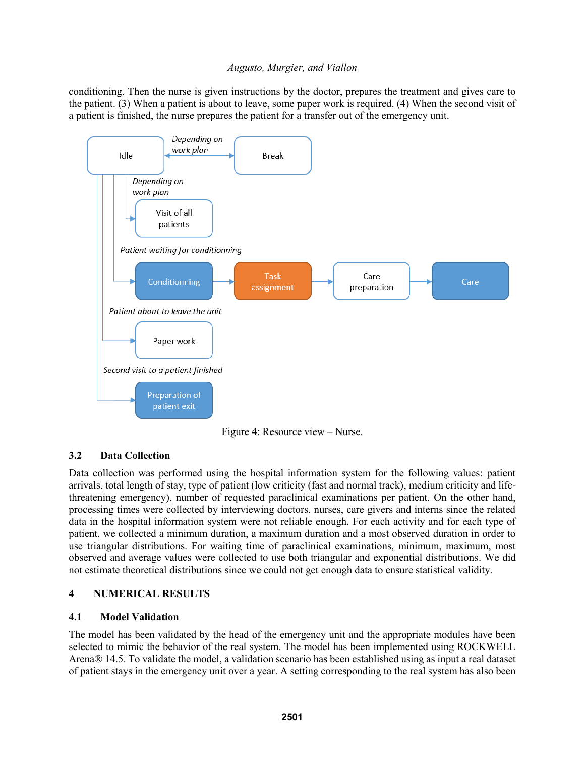conditioning. Then the nurse is given instructions by the doctor, prepares the treatment and gives care to the patient. (3) When a patient is about to leave, some paper work is required. (4) When the second visit of a patient is finished, the nurse prepares the patient for a transfer out of the emergency unit.



Figure 4: Resource view – Nurse.

# **3.2 Data Collection**

Data collection was performed using the hospital information system for the following values: patient arrivals, total length of stay, type of patient (low criticity (fast and normal track), medium criticity and lifethreatening emergency), number of requested paraclinical examinations per patient. On the other hand, processing times were collected by interviewing doctors, nurses, care givers and interns since the related data in the hospital information system were not reliable enough. For each activity and for each type of patient, we collected a minimum duration, a maximum duration and a most observed duration in order to use triangular distributions. For waiting time of paraclinical examinations, minimum, maximum, most observed and average values were collected to use both triangular and exponential distributions. We did not estimate theoretical distributions since we could not get enough data to ensure statistical validity.

# **4 NUMERICAL RESULTS**

# **4.1 Model Validation**

The model has been validated by the head of the emergency unit and the appropriate modules have been selected to mimic the behavior of the real system. The model has been implemented using ROCKWELL Arena® 14.5. To validate the model, a validation scenario has been established using as input a real dataset of patient stays in the emergency unit over a year. A setting corresponding to the real system has also been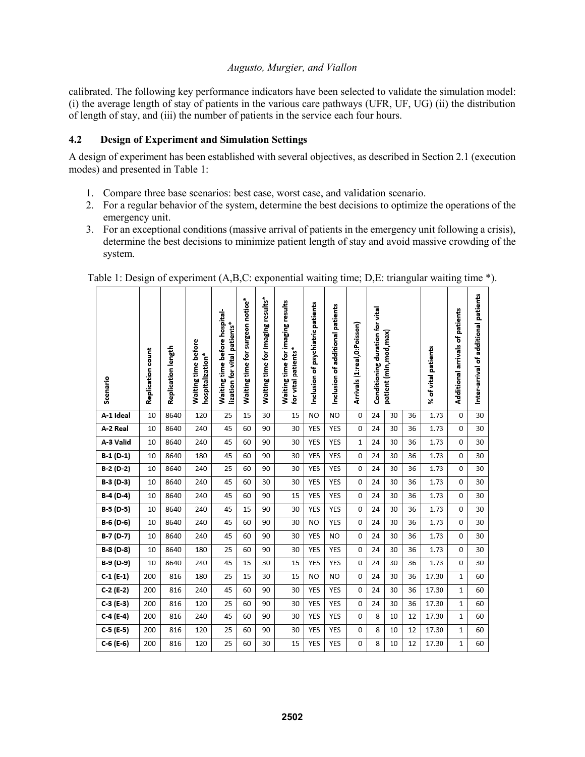calibrated. The following key performance indicators have been selected to validate the simulation model: (i) the average length of stay of patients in the various care pathways (UFR, UF, UG) (ii) the distribution of length of stay, and (iii) the number of patients in the service each four hours.

## **4.2 Design of Experiment and Simulation Settings**

A design of experiment has been established with several objectives, as described in Section 2.1 (execution modes) and presented in Table 1:

- 1. Compare three base scenarios: best case, worst case, and validation scenario.
- 2. For a regular behavior of the system, determine the best decisions to optimize the operations of the emergency unit.
- 3. For an exceptional conditions (massive arrival of patients in the emergency unit following a crisis), determine the best decisions to minimize patient length of stay and avoid massive crowding of the system.

| Scenario    | Replication count | Replication length | Waiting time before<br>hospitalization* | Waiting time before hospital-<br>lization for vital patients* | Waiting time for surgeon notice* | Waiting time for imaging results* | Waiting time for imaging results<br>for vital patients* | Inclusion of psychiatric patients | Inclusion of additional patients | Arrivals (1:real,0:Poisson) | Conditioning duration for vital | patient (min,mod,max) |    | % of vital patients | Additional arrivals of patients | Inter-arrival of additional patients |
|-------------|-------------------|--------------------|-----------------------------------------|---------------------------------------------------------------|----------------------------------|-----------------------------------|---------------------------------------------------------|-----------------------------------|----------------------------------|-----------------------------|---------------------------------|-----------------------|----|---------------------|---------------------------------|--------------------------------------|
| A-1 Ideal   | 10                | 8640               | 120                                     | 25                                                            | 15                               | 30                                | 15                                                      | N <sub>O</sub>                    | N <sub>O</sub>                   | 0                           | 24                              | 30                    | 36 | 1.73                | 0                               | 30                                   |
| A-2 Real    | 10                | 8640               | 240                                     | 45                                                            | 60                               | 90                                | 30                                                      | YES                               | YES                              | 0                           | 24                              | 30                    | 36 | 1.73                | 0                               | 30                                   |
| A-3 Valid   | 10                | 8640               | 240                                     | 45                                                            | 60                               | 90                                | 30                                                      | YES                               | YES                              | 1                           | 24                              | 30                    | 36 | 1.73                | 0                               | 30                                   |
| $B-1(D-1)$  | 10                | 8640               | 180                                     | 45                                                            | 60                               | 90                                | 30                                                      | YES                               | YES                              | 0                           | 24                              | 30                    | 36 | 1.73                | 0                               | 30                                   |
| $B-2(D-2)$  | 10                | 8640               | 240                                     | 25                                                            | 60                               | 90                                | 30                                                      | YES                               | YES                              | 0                           | 24                              | 30                    | 36 | 1.73                | 0                               | 30                                   |
| B-3 (D-3)   | 10                | 8640               | 240                                     | 45                                                            | 60                               | 30                                | 30                                                      | YES                               | YES                              | 0                           | 24                              | 30                    | 36 | 1.73                | 0                               | 30                                   |
| B-4 (D-4)   | 10                | 8640               | 240                                     | 45                                                            | 60                               | 90                                | 15                                                      | YES                               | YES                              | 0                           | 24                              | 30                    | 36 | 1.73                | 0                               | 30                                   |
| B-5 (D-5)   | 10                | 8640               | 240                                     | 45                                                            | 15                               | 90                                | 30                                                      | YES                               | YES                              | 0                           | 24                              | 30                    | 36 | 1.73                | 0                               | 30                                   |
| B-6 (D-6)   | 10                | 8640               | 240                                     | 45                                                            | 60                               | 90                                | 30                                                      | N <sub>O</sub>                    | YES                              | 0                           | 24                              | 30                    | 36 | 1.73                | 0                               | 30                                   |
| B-7 (D-7)   | 10                | 8640               | 240                                     | 45                                                            | 60                               | 90                                | 30                                                      | YES                               | N <sub>O</sub>                   | 0                           | 24                              | 30                    | 36 | 1.73                | 0                               | 30                                   |
| B-8 (D-8)   | 10                | 8640               | 180                                     | 25                                                            | 60                               | 90                                | 30                                                      | YES                               | YES                              | 0                           | 24                              | 30                    | 36 | 1.73                | 0                               | 30                                   |
| B-9 (D-9)   | 10                | 8640               | 240                                     | 45                                                            | 15                               | 30                                | 15                                                      | YES                               | YES                              | 0                           | 24                              | 30                    | 36 | 1.73                | 0                               | 30                                   |
| $C-1$ (E-1) | 200               | 816                | 180                                     | 25                                                            | 15                               | 30                                | 15                                                      | NO                                | NO                               | 0                           | 24                              | 30                    | 36 | 17.30               | 1                               | 60                                   |
| $C-2$ (E-2) | 200               | 816                | 240                                     | 45                                                            | 60                               | 90                                | 30                                                      | YES                               | YES                              | 0                           | 24                              | 30                    | 36 | 17.30               | $\mathbf{1}$                    | 60                                   |
| $C-3(E-3)$  | 200               | 816                | 120                                     | 25                                                            | 60                               | 90                                | 30                                                      | YES                               | YES                              | 0                           | 24                              | 30                    | 36 | 17.30               | 1                               | 60                                   |
| $C-4(E-4)$  | 200               | 816                | 240                                     | 45                                                            | 60                               | 90                                | 30                                                      | YES                               | <b>YES</b>                       | 0                           | 8                               | 10                    | 12 | 17.30               | $\mathbf{1}$                    | 60                                   |
| $C-5$ (E-5) | 200               | 816                | 120                                     | 25                                                            | 60                               | 90                                | 30                                                      | YES                               | YES                              | 0                           | 8                               | 10                    | 12 | 17.30               | 1                               | 60                                   |
| $C-6$ (E-6) | 200               | 816                | 120                                     | 25                                                            | 60                               | 30                                | 15                                                      | YES                               | YES                              | 0                           | 8                               | 10                    | 12 | 17.30               | $\mathbf{1}$                    | 60                                   |

Table 1: Design of experiment (A,B,C: exponential waiting time; D,E: triangular waiting time \*).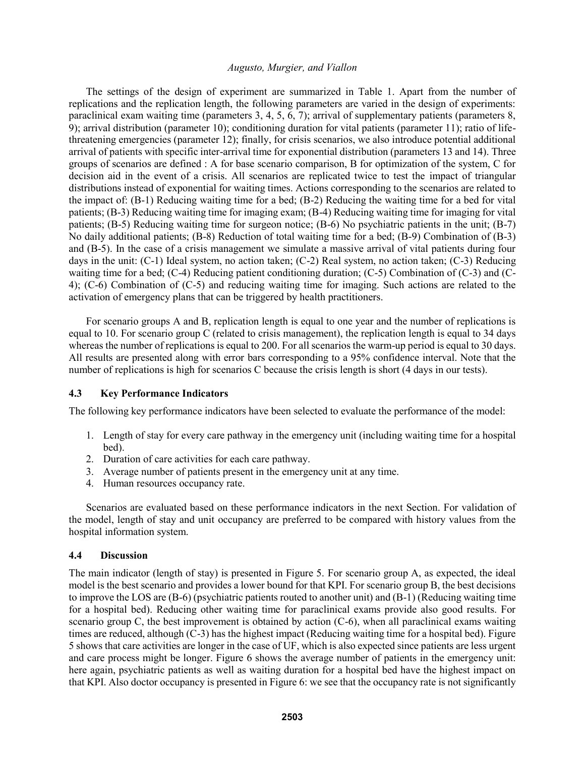The settings of the design of experiment are summarized in Table 1. Apart from the number of replications and the replication length, the following parameters are varied in the design of experiments: paraclinical exam waiting time (parameters 3, 4, 5, 6, 7); arrival of supplementary patients (parameters 8, 9); arrival distribution (parameter 10); conditioning duration for vital patients (parameter 11); ratio of lifethreatening emergencies (parameter 12); finally, for crisis scenarios, we also introduce potential additional arrival of patients with specific inter-arrival time for exponential distribution (parameters 13 and 14). Three groups of scenarios are defined : A for base scenario comparison, B for optimization of the system, C for decision aid in the event of a crisis. All scenarios are replicated twice to test the impact of triangular distributions instead of exponential for waiting times. Actions corresponding to the scenarios are related to the impact of: (B-1) Reducing waiting time for a bed; (B-2) Reducing the waiting time for a bed for vital patients; (B-3) Reducing waiting time for imaging exam; (B-4) Reducing waiting time for imaging for vital patients; (B-5) Reducing waiting time for surgeon notice; (B-6) No psychiatric patients in the unit; (B-7) No daily additional patients; (B-8) Reduction of total waiting time for a bed; (B-9) Combination of (B-3) and (B-5). In the case of a crisis management we simulate a massive arrival of vital patients during four days in the unit: (C-1) Ideal system, no action taken; (C-2) Real system, no action taken; (C-3) Reducing waiting time for a bed; (C-4) Reducing patient conditioning duration; (C-5) Combination of (C-3) and (C-4); (C-6) Combination of (C-5) and reducing waiting time for imaging. Such actions are related to the activation of emergency plans that can be triggered by health practitioners.

For scenario groups A and B, replication length is equal to one year and the number of replications is equal to 10. For scenario group C (related to crisis management), the replication length is equal to 34 days whereas the number of replications is equal to 200. For all scenarios the warm-up period is equal to 30 days. All results are presented along with error bars corresponding to a 95% confidence interval. Note that the number of replications is high for scenarios C because the crisis length is short (4 days in our tests).

## **4.3 Key Performance Indicators**

The following key performance indicators have been selected to evaluate the performance of the model:

- 1. Length of stay for every care pathway in the emergency unit (including waiting time for a hospital bed).
- 2. Duration of care activities for each care pathway.
- 3. Average number of patients present in the emergency unit at any time.
- 4. Human resources occupancy rate.

Scenarios are evaluated based on these performance indicators in the next Section. For validation of the model, length of stay and unit occupancy are preferred to be compared with history values from the hospital information system.

#### **4.4 Discussion**

The main indicator (length of stay) is presented in Figure 5. For scenario group A, as expected, the ideal model is the best scenario and provides a lower bound for that KPI. For scenario group B, the best decisions to improve the LOS are (B-6) (psychiatric patients routed to another unit) and (B-1) (Reducing waiting time for a hospital bed). Reducing other waiting time for paraclinical exams provide also good results. For scenario group C, the best improvement is obtained by action (C-6), when all paraclinical exams waiting times are reduced, although (C-3) has the highest impact (Reducing waiting time for a hospital bed). Figure 5 shows that care activities are longer in the case of UF, which is also expected since patients are less urgent and care process might be longer. Figure 6 shows the average number of patients in the emergency unit: here again, psychiatric patients as well as waiting duration for a hospital bed have the highest impact on that KPI. Also doctor occupancy is presented in Figure 6: we see that the occupancy rate is not significantly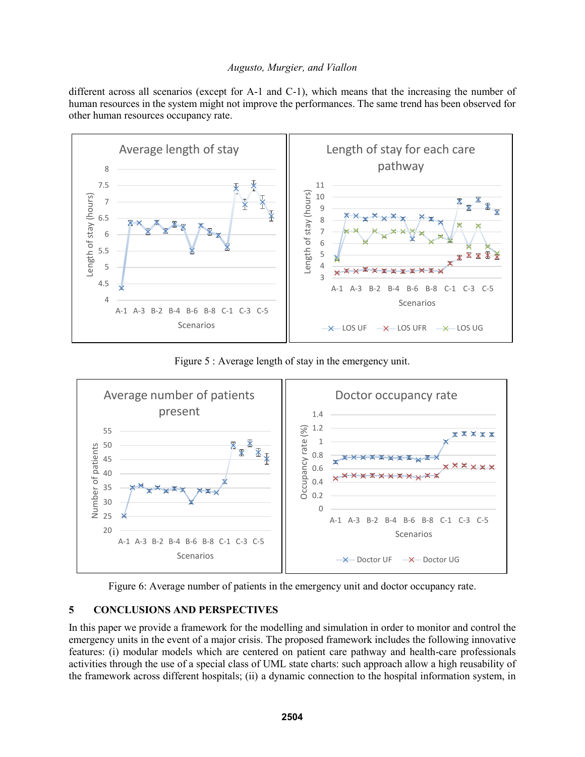different across all scenarios (except for A-1 and C-1), which means that the increasing the number of human resources in the system might not improve the performances. The same trend has been observed for other human resources occupancy rate.



Figure 5 : Average length of stay in the emergency unit.



Figure 6: Average number of patients in the emergency unit and doctor occupancy rate.

# **5 CONCLUSIONS AND PERSPECTIVES**

In this paper we provide a framework for the modelling and simulation in order to monitor and control the emergency units in the event of a major crisis. The proposed framework includes the following innovative features: (i) modular models which are centered on patient care pathway and health-care professionals activities through the use of a special class of UML state charts: such approach allow a high reusability of the framework across different hospitals; (ii) a dynamic connection to the hospital information system, in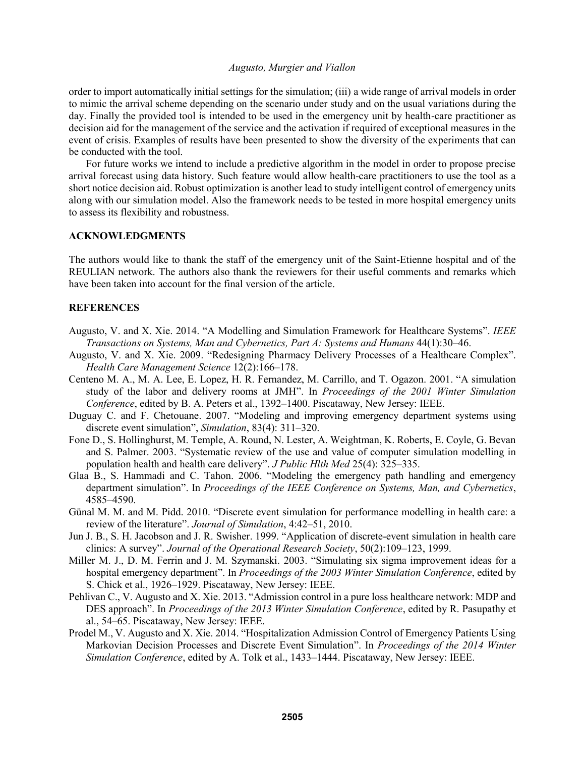order to import automatically initial settings for the simulation; (iii) a wide range of arrival models in order to mimic the arrival scheme depending on the scenario under study and on the usual variations during the day. Finally the provided tool is intended to be used in the emergency unit by health-care practitioner as decision aid for the management of the service and the activation if required of exceptional measures in the event of crisis. Examples of results have been presented to show the diversity of the experiments that can be conducted with the tool.

For future works we intend to include a predictive algorithm in the model in order to propose precise arrival forecast using data history. Such feature would allow health-care practitioners to use the tool as a short notice decision aid. Robust optimization is another lead to study intelligent control of emergency units along with our simulation model. Also the framework needs to be tested in more hospital emergency units to assess its flexibility and robustness.

#### **ACKNOWLEDGMENTS**

The authors would like to thank the staff of the emergency unit of the Saint-Etienne hospital and of the REULIAN network. The authors also thank the reviewers for their useful comments and remarks which have been taken into account for the final version of the article.

#### **REFERENCES**

- Augusto, V. and X. Xie. 2014. "A Modelling and Simulation Framework for Healthcare Systems". *IEEE Transactions on Systems, Man and Cybernetics, Part A: Systems and Humans* 44(1):30–46.
- Augusto, V. and X. Xie. 2009. "Redesigning Pharmacy Delivery Processes of a Healthcare Complex". *Health Care Management Science* 12(2):166–178.
- Centeno M. A., M. A. Lee, E. Lopez, H. R. Fernandez, M. Carrillo, and T. Ogazon. 2001. "A simulation study of the labor and delivery rooms at JMH". In *Proceedings of the 2001 Winter Simulation Conference*, edited by B. A. Peters et al., 1392–1400. Piscataway, New Jersey: IEEE.
- Duguay C. and F. Chetouane. 2007. "Modeling and improving emergency department systems using discrete event simulation", *Simulation*, 83(4): 311–320.
- Fone D., S. Hollinghurst, M. Temple, A. Round, N. Lester, A. Weightman, K. Roberts, E. Coyle, G. Bevan and S. Palmer. 2003. "Systematic review of the use and value of computer simulation modelling in population health and health care delivery". *J Public Hlth Med* 25(4): 325–335.
- Glaa B., S. Hammadi and C. Tahon. 2006. "Modeling the emergency path handling and emergency department simulation". In *Proceedings of the IEEE Conference on Systems, Man, and Cybernetics*, 4585–4590.
- Günal M. M. and M. Pidd. 2010. "Discrete event simulation for performance modelling in health care: a review of the literature". *Journal of Simulation*, 4:42–51, 2010.
- Jun J. B., S. H. Jacobson and J. R. Swisher. 1999. "Application of discrete-event simulation in health care clinics: A survey". *Journal of the Operational Research Society*, 50(2):109–123, 1999.
- Miller M. J., D. M. Ferrin and J. M. Szymanski. 2003. "Simulating six sigma improvement ideas for a hospital emergency department". In *Proceedings of the 2003 Winter Simulation Conference*, edited by S. Chick et al., 1926–1929. Piscataway, New Jersey: IEEE.
- Pehlivan C., V. Augusto and X. Xie. 2013. "Admission control in a pure loss healthcare network: MDP and DES approach". In *Proceedings of the 2013 Winter Simulation Conference*, edited by R. Pasupathy et al., 54–65. Piscataway, New Jersey: IEEE.
- Prodel M., V. Augusto and X. Xie. 2014. "Hospitalization Admission Control of Emergency Patients Using Markovian Decision Processes and Discrete Event Simulation". In *Proceedings of the 2014 Winter Simulation Conference*, edited by A. Tolk et al., 1433–1444. Piscataway, New Jersey: IEEE.